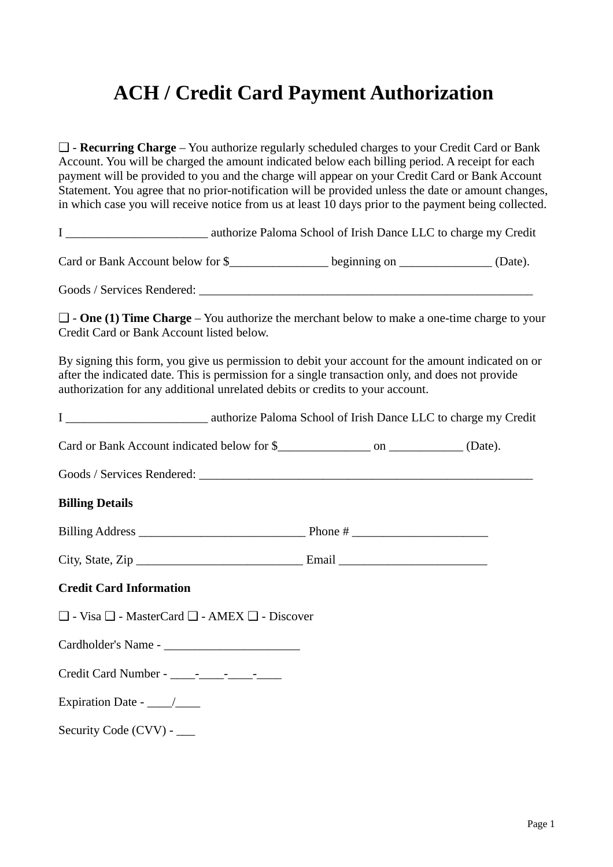## **ACH / Credit Card Payment Authorization**

❑ - **Recurring Charge** – You authorize regularly scheduled charges to your Credit Card or Bank Account. You will be charged the amount indicated below each billing period. A receipt for each payment will be provided to you and the charge will appear on your Credit Card or Bank Account Statement. You agree that no prior-notification will be provided unless the date or amount changes, in which case you will receive notice from us at least 10 days prior to the payment being collected.

I \_\_\_\_\_\_\_\_\_\_\_\_\_\_\_\_\_\_\_\_\_\_\_ authorize Paloma School of Irish Dance LLC to charge my Credit

Card or Bank Account below for \$\_\_\_\_\_\_\_\_\_\_\_\_\_\_\_\_\_\_\_\_\_\_beginning on \_\_\_\_\_\_\_\_\_\_\_\_\_\_\_\_\_\_\_\_ (Date).

Goods / Services Rendered: \_\_\_\_\_\_\_\_\_\_\_\_\_\_\_\_\_\_\_\_\_\_\_\_\_\_\_\_\_\_\_\_\_\_\_\_\_\_\_\_\_\_\_\_\_\_\_\_\_\_\_\_\_\_

❑ - **One (1) Time Charge** – You authorize the merchant below to make a one-time charge to your Credit Card or Bank Account listed below.

By signing this form, you give us permission to debit your account for the amount indicated on or after the indicated date. This is permission for a single transaction only, and does not provide authorization for any additional unrelated debits or credits to your account.

| <b>Billing Details</b>                                            |  |  |
|-------------------------------------------------------------------|--|--|
|                                                                   |  |  |
|                                                                   |  |  |
| <b>Credit Card Information</b>                                    |  |  |
| $\Box$ - Visa $\Box$ - MasterCard $\Box$ - AMEX $\Box$ - Discover |  |  |
|                                                                   |  |  |
|                                                                   |  |  |
| Expiration Date - $\frac{\ }{\ }$                                 |  |  |
| Security Code (CVV) - ___                                         |  |  |